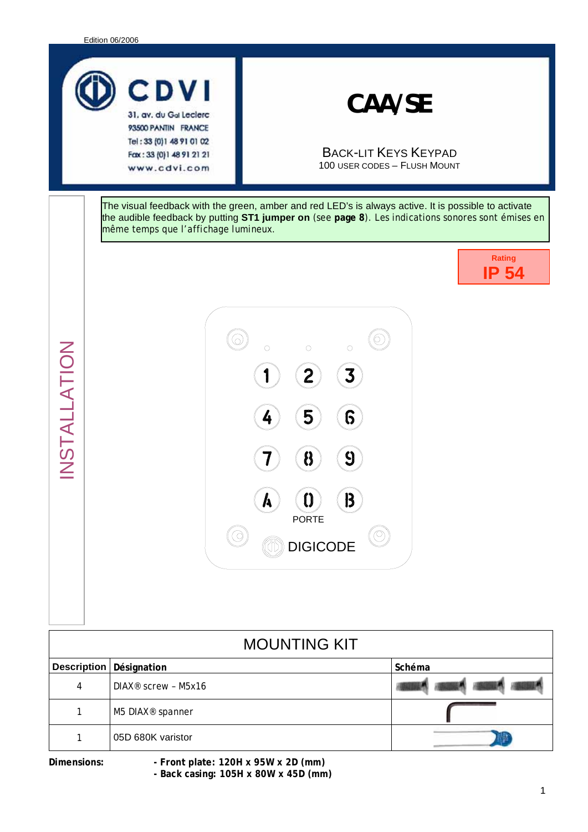

www.cdvi.com

*CAA/SE* 

BACK-LIT KEYS KEYPAD 100 USER CODES – FLUSH MOUNT

The visual feedback with the green, amber and red LED's is always active. It is possible to activate the audible feedback by putting **ST1 jumper on** (see **page 8**). Les indications sonores sont émises en même temps que l'affichage lumineux.

j

**Rating IP 54** 



| Z                  | D.<br>$\boldsymbol{\beta}$<br>$\bf{0}$<br>$\boldsymbol{h}$<br><b>PORTE</b><br><b>Inflat DIGICODE</b> |        |
|--------------------|------------------------------------------------------------------------------------------------------|--------|
|                    | <b>MOUNTING KIT</b>                                                                                  |        |
| <b>Description</b> | Désignation                                                                                          | Schéma |
| 4                  | DIAX <sup>®</sup> screw - M5x16                                                                      |        |
| 1                  | M5 DIAX <sup>®</sup> spanner                                                                         |        |
| 1                  | 05D 680K varistor                                                                                    |        |
| Dimensions:        | - Front plate: 120H x 95W x 2D (mm)<br>- Back casing: 105H x 80W x 45D (mm)                          |        |

STALLATI

O  $\boldsymbol{Z}$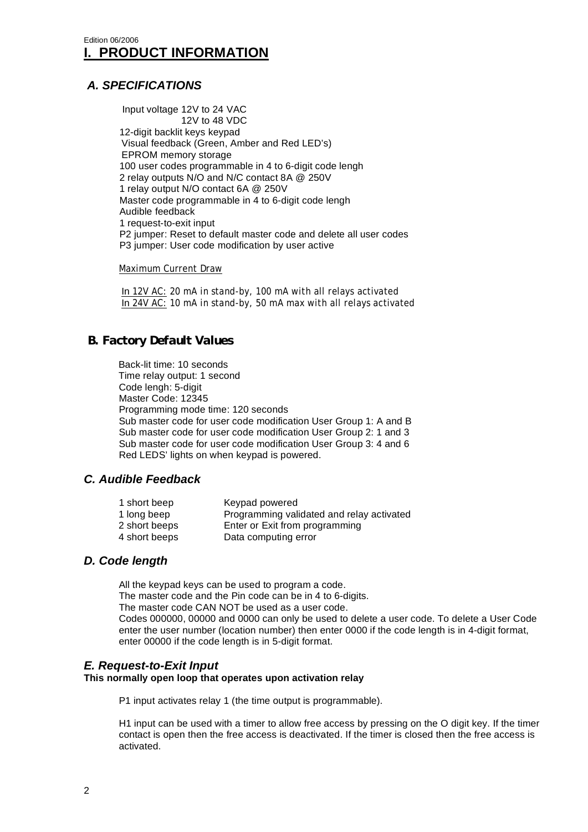#### *A. SPECIFICATIONS*

Input voltage 12V to 24 VAC 12V to 48 VDC 12-digit backlit keys keypad Visual feedback (Green, Amber and Red LED's) EPROM memory storage 100 user codes programmable in 4 to 6-digit code lengh 2 relay outputs N/O and N/C contact 8A @ 250V 1 relay output N/O contact 6A @ 250V Master code programmable in 4 to 6-digit code lengh Audible feedback 1 request-to-exit input P2 jumper: Reset to default master code and delete all user codes P3 jumper: User code modification by user active

Maximum Current Draw

 In 12V AC: 20 mA in stand-by, 100 mA with all relays activated In 24V AC: 10 mA in stand-by, 50 mA max with all relays activated

# *B. Factory Default Values*

Back-lit time: 10 seconds Time relay output: 1 second Code lengh: 5-digit Master Code: 12345 Programming mode time: 120 seconds Sub master code for user code modification User Group 1: A and B Sub master code for user code modification User Group 2: 1 and 3 Sub master code for user code modification User Group 3: 4 and 6 Red LEDS' lights on when keypad is powered.

#### *C. Audible Feedback*

| 1 short beep<br>1 long beep | Keypad powered<br>Programming validated and relay activated |
|-----------------------------|-------------------------------------------------------------|
| 2 short beeps               | Enter or Exit from programming                              |
| 4 short beeps               | Data computing error                                        |

#### *D. Code length*

All the keypad keys can be used to program a code. The master code and the Pin code can be in 4 to 6-digits. The master code CAN NOT be used as a user code. Codes 000000, 00000 and 0000 can only be used to delete a user code. To delete a User Code enter the user number (location number) then enter 0000 if the code length is in 4-digit format, enter 00000 if the code length is in 5-digit format.

#### *E. Request-to-Exit Input*

**This normally open loop that operates upon activation relay** 

P1 input activates relay 1 (the time output is programmable).

H1 input can be used with a timer to allow free access by pressing on the O digit key. If the timer contact is open then the free access is deactivated. If the timer is closed then the free access is activated.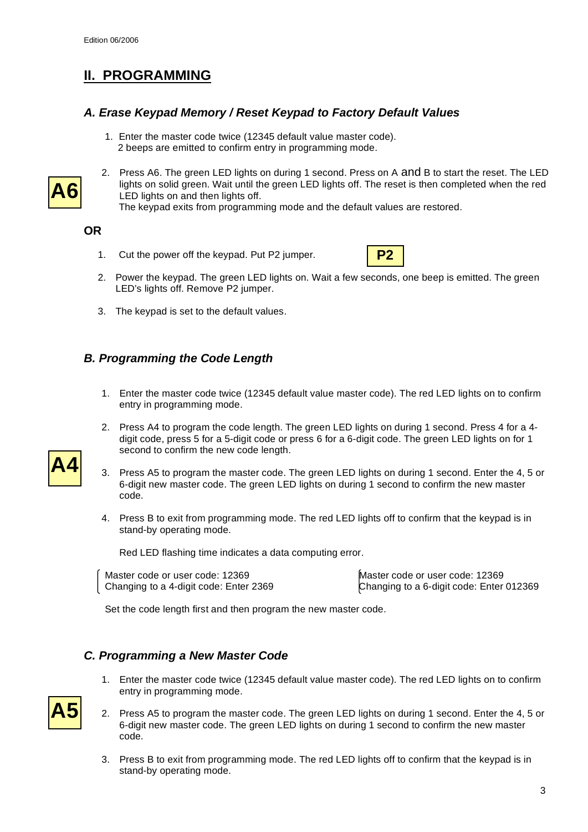# **II. PROGRAMMING**

#### *A. Erase Keypad Memory / Reset Keypad to Factory Default Values*

1. Enter the master code twice (12345 default value master code). 2 beeps are emitted to confirm entry in programming mode.



2. Press A6. The green LED lights on during 1 second. Press on A and B to start the reset. The LED lights on solid green. Wait until the green LED lights off. The reset is then completed when the red LED lights on and then lights off.

The keypad exits from programming mode and the default values are restored.

**OR** 

1. Cut the power off the keypad. Put P2 jumper.



- 2. Power the keypad. The green LED lights on. Wait a few seconds, one beep is emitted. The green LED's lights off. Remove P2 jumper.
- 3. The keypad is set to the default values.

# *B. Programming the Code Length*

- 1. Enter the master code twice (12345 default value master code). The red LED lights on to confirm entry in programming mode.
- 2. Press A4 to program the code length. The green LED lights on during 1 second. Press 4 for a 4 digit code, press 5 for a 5-digit code or press 6 for a 6-digit code. The green LED lights on for 1 second to confirm the new code length.
- 3. Press A5 to program the master code. The green LED lights on during 1 second. Enter the 4, 5 or 6-digit new master code. The green LED lights on during 1 second to confirm the new master code.
- 4. Press B to exit from programming mode. The red LED lights off to confirm that the keypad is in stand-by operating mode.

Red LED flashing time indicates a data computing error.

Master code or user code: 12369 Master code or user code: 12369

Changing to a 4-digit code: Enter 2369 Changing to a 6-digit code: Enter 012369

Set the code length first and then program the new master code.

# *C. Programming a New Master Code*

- 1. Enter the master code twice (12345 default value master code). The red LED lights on to confirm entry in programming mode.
- 2. Press A5 to program the master code. The green LED lights on during 1 second. Enter the 4, 5 or 6-digit new master code. The green LED lights on during 1 second to confirm the new master code.
- 3. Press B to exit from programming mode. The red LED lights off to confirm that the keypad is in stand-by operating mode.



**A5**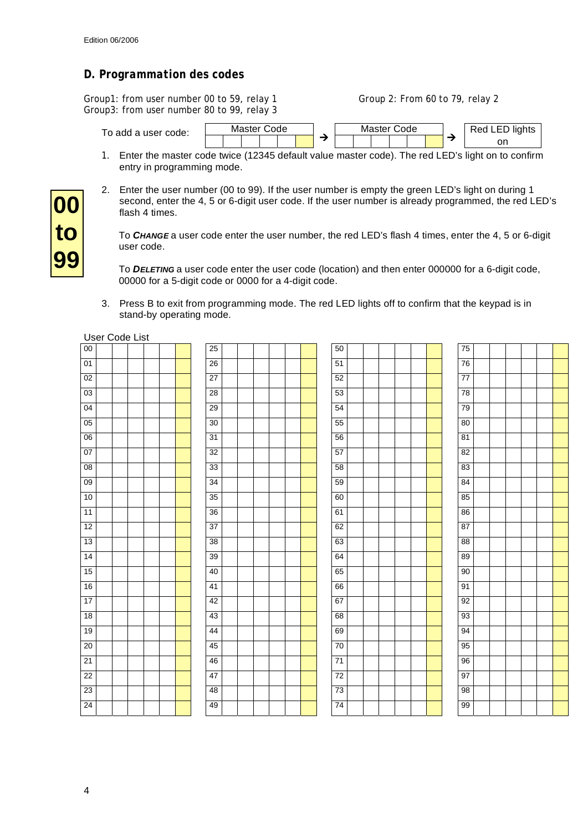#### *D. Programmation des codes*

Group1: from user number 00 to 59, relay 1 Group 2: From 60 to 79, relay 2 Group3: from user number 80 to 99, relay 3



- 1. Enter the master code twice (12345 default value master code). The red LED's light on to confirm entry in programming mode.
- 2. Enter the user number (00 to 99). If the user number is empty the green LED's light on during 1 second, enter the 4, 5 or 6-digit user code. If the user number is already programmed, the red LED's flash 4 times.

To *CHANGE* a user code enter the user number, the red LED's flash 4 times, enter the 4, 5 or 6-digit user code.

To *DELETING* a user code enter the user code (location) and then enter 000000 for a 6-digit code, 00000 for a 5-digit code or 0000 for a 4-digit code.

3. Press B to exit from programming mode. The red LED lights off to confirm that the keypad is in stand-by operating mode.

|                 | User Code List |  |  |  |                 |  |  |    |  |  |                 |  |  |  |
|-----------------|----------------|--|--|--|-----------------|--|--|----|--|--|-----------------|--|--|--|
| 00              |                |  |  |  | 25              |  |  | 50 |  |  | 75              |  |  |  |
| 01              |                |  |  |  | 26              |  |  | 51 |  |  | 76              |  |  |  |
| 02              |                |  |  |  | 27              |  |  | 52 |  |  | 77              |  |  |  |
| 03              |                |  |  |  | 28              |  |  | 53 |  |  | 78              |  |  |  |
| 04              |                |  |  |  | 29              |  |  | 54 |  |  | 79              |  |  |  |
| 05              |                |  |  |  | 30              |  |  | 55 |  |  | 80              |  |  |  |
| 06              |                |  |  |  | 31              |  |  | 56 |  |  | 81              |  |  |  |
| 07              |                |  |  |  | $\overline{32}$ |  |  | 57 |  |  | 82              |  |  |  |
| 08              |                |  |  |  | 33              |  |  | 58 |  |  | 83              |  |  |  |
| 09              |                |  |  |  | 34              |  |  | 59 |  |  | 84              |  |  |  |
| 10              |                |  |  |  | $\overline{35}$ |  |  | 60 |  |  | 85              |  |  |  |
| 11              |                |  |  |  | 36              |  |  | 61 |  |  | 86              |  |  |  |
| 12              |                |  |  |  | 37              |  |  | 62 |  |  | 87              |  |  |  |
| 13              |                |  |  |  | 38              |  |  | 63 |  |  | $\overline{88}$ |  |  |  |
| 14              |                |  |  |  | 39              |  |  | 64 |  |  | 89              |  |  |  |
| 15              |                |  |  |  | 40              |  |  | 65 |  |  | 90              |  |  |  |
| 16              |                |  |  |  | 41              |  |  | 66 |  |  | 91              |  |  |  |
| 17              |                |  |  |  | 42              |  |  | 67 |  |  | 92              |  |  |  |
| 18              |                |  |  |  | 43              |  |  | 68 |  |  | 93              |  |  |  |
| 19              |                |  |  |  | 44              |  |  | 69 |  |  | 94              |  |  |  |
| $\overline{20}$ |                |  |  |  | 45              |  |  | 70 |  |  | 95              |  |  |  |
| 21              |                |  |  |  | 46              |  |  | 71 |  |  | 96              |  |  |  |
| 22              |                |  |  |  | 47              |  |  | 72 |  |  | 97              |  |  |  |
| 23              |                |  |  |  | 48              |  |  | 73 |  |  | 98              |  |  |  |
| $\overline{24}$ |                |  |  |  | 49              |  |  | 74 |  |  | 99              |  |  |  |

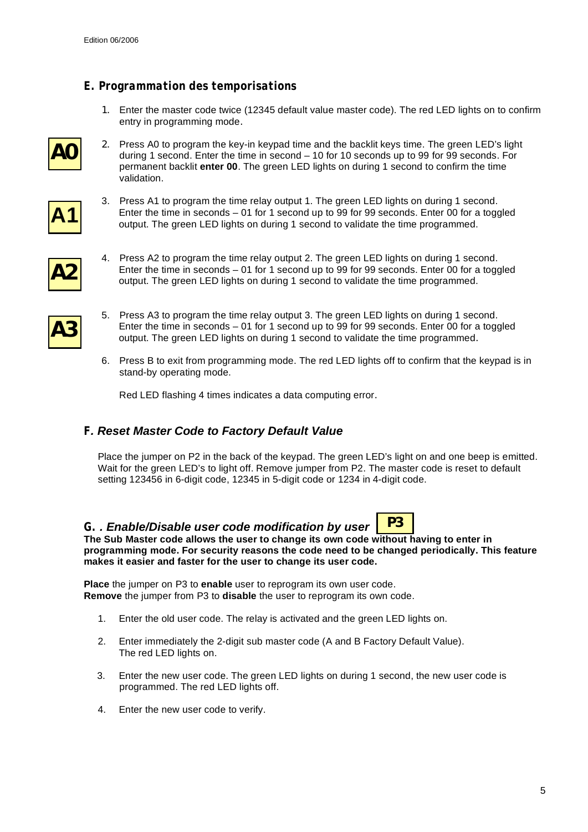#### *E. Programmation des temporisations*

1. Enter the master code twice (12345 default value master code). The red LED lights on to confirm entry in programming mode.



2. Press A0 to program the key-in keypad time and the backlit keys time. The green LED's light during 1 second. Enter the time in second – 10 for 10 seconds up to 99 for 99 seconds. For permanent backlit **enter 00**. The green LED lights on during 1 second to confirm the time validation.



3. Press A1 to program the time relay output 1. The green LED lights on during 1 second. Enter the time in seconds – 01 for 1 second up to 99 for 99 seconds. Enter 00 for a toggled output. The green LED lights on during 1 second to validate the time programmed.



- 4. Press A2 to program the time relay output 2. The green LED lights on during 1 second. Enter the time in seconds – 01 for 1 second up to 99 for 99 seconds. Enter 00 for a toggled output. The green LED lights on during 1 second to validate the time programmed.
- **A3**
- 5. Press A3 to program the time relay output 3. The green LED lights on during 1 second. Enter the time in seconds – 01 for 1 second up to 99 for 99 seconds. Enter 00 for a toggled output. The green LED lights on during 1 second to validate the time programmed.
- 6. Press B to exit from programming mode. The red LED lights off to confirm that the keypad is in stand-by operating mode.

Red LED flashing 4 times indicates a data computing error.

# *F. Reset Master Code to Factory Default Value*

Place the jumper on P2 in the back of the keypad. The green LED's light on and one beep is emitted. Wait for the green LED's to light off. Remove jumper from P2. The master code is reset to default setting 123456 in 6-digit code, 12345 in 5-digit code or 1234 in 4-digit code.

#### *G. . Enable/Disable user code modification by user*



**The Sub Master code allows the user to change its own code without having to enter in programming mode. For security reasons the code need to be changed periodically. This feature makes it easier and faster for the user to change its user code.**

**Place** the jumper on P3 to **enable** user to reprogram its own user code. **Remove** the jumper from P3 to **disable** the user to reprogram its own code.

- 1. Enter the old user code. The relay is activated and the green LED lights on.
- 2. Enter immediately the 2-digit sub master code (A and B Factory Default Value). The red LED lights on.
- 3. Enter the new user code. The green LED lights on during 1 second, the new user code is programmed. The red LED lights off.
- 4. Enter the new user code to verify.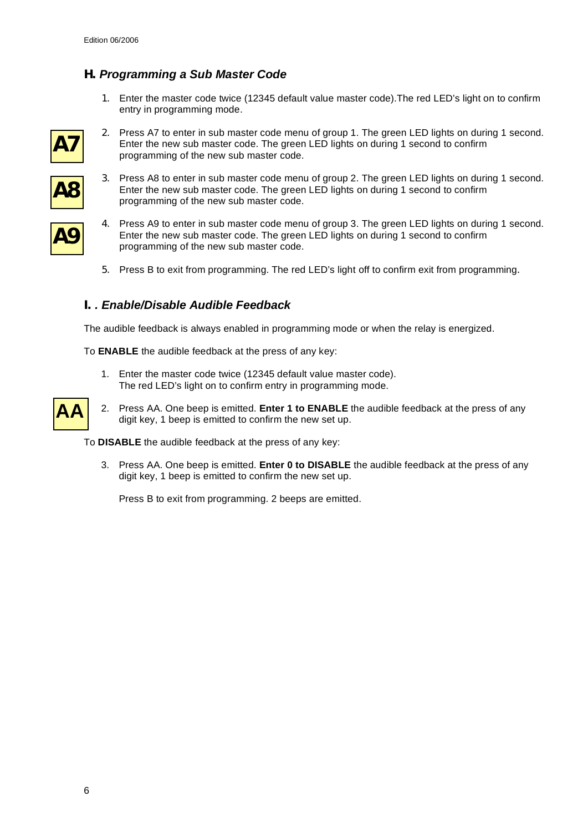# *H. Programming a Sub Master Code*

1. Enter the master code twice (12345 default value master code).The red LED's light on to confirm entry in programming mode.



2. Press A7 to enter in sub master code menu of group 1. The green LED lights on during 1 second. Enter the new sub master code. The green LED lights on during 1 second to confirm programming of the new sub master code.



**A9**

- 3. Press A8 to enter in sub master code menu of group 2. The green LED lights on during 1 second. Enter the new sub master code. The green LED lights on during 1 second to confirm programming of the new sub master code.
- 4. Press A9 to enter in sub master code menu of group 3. The green LED lights on during 1 second. Enter the new sub master code. The green LED lights on during 1 second to confirm programming of the new sub master code.
	- 5. Press B to exit from programming. The red LED's light off to confirm exit from programming.

#### *I. . Enable/Disable Audible Feedback*

The audible feedback is always enabled in programming mode or when the relay is energized.

To **ENABLE** the audible feedback at the press of any key:

1. Enter the master code twice (12345 default value master code). The red LED's light on to confirm entry in programming mode.



2. Press AA. One beep is emitted. **Enter 1 to ENABLE** the audible feedback at the press of any digit key, 1 beep is emitted to confirm the new set up.

To **DISABLE** the audible feedback at the press of any key:

3. Press AA. One beep is emitted. **Enter 0 to DISABLE** the audible feedback at the press of any digit key, 1 beep is emitted to confirm the new set up.

Press B to exit from programming. 2 beeps are emitted.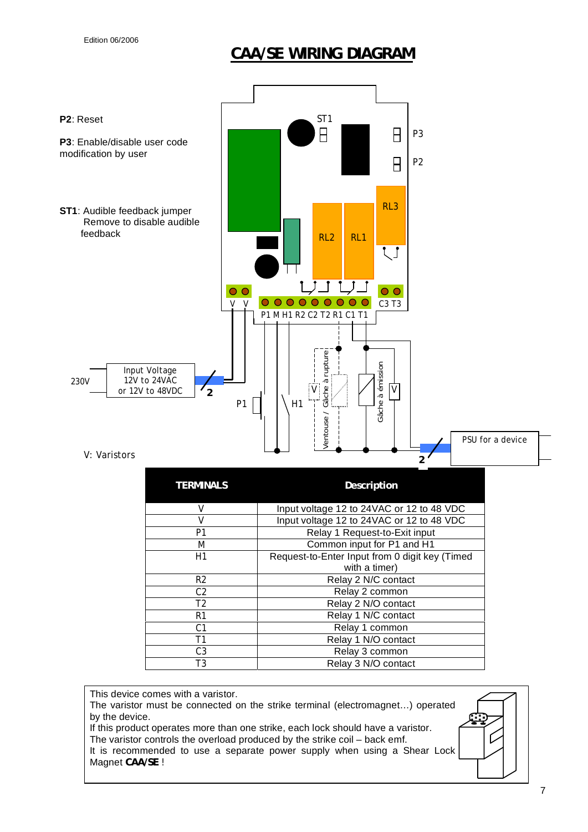# **CAA/SE WIRING DIAGRAM**



It is recommended to use a separate power supply when using a Shear Lock Magnet **CAA/SE** !